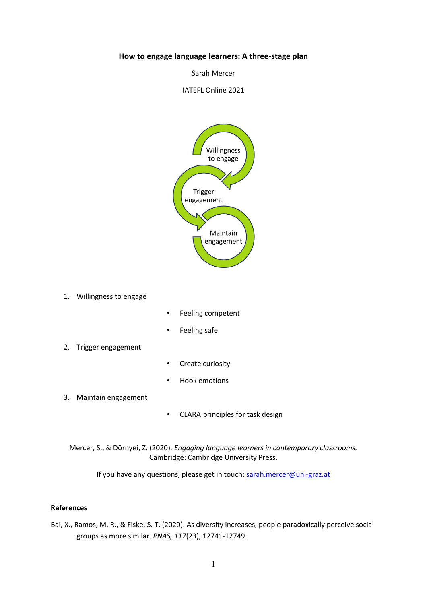## **How to engage language learners: A three-stage plan**

Sarah Mercer

IATEFL Online 2021



1. Willingness to engage

- Feeling competent
- Feeling safe
- 2. Trigger engagement
- Create curiosity
- Hook emotions
- 3. Maintain engagement
- CLARA principles for task design

Mercer, S., & Dörnyei, Z. (2020). *Engaging language learners in contemporary classrooms.*  Cambridge: Cambridge University Press.

If you have any questions, please get in touch[: sarah.mercer@uni-graz.at](mailto:sarah.mercer@uni-graz.at)

## **References**

Bai, X., Ramos, M. R., & Fiske, S. T. (2020). As diversity increases, people paradoxically perceive social groups as more similar. *PNAS, 117*(23), 12741-12749.